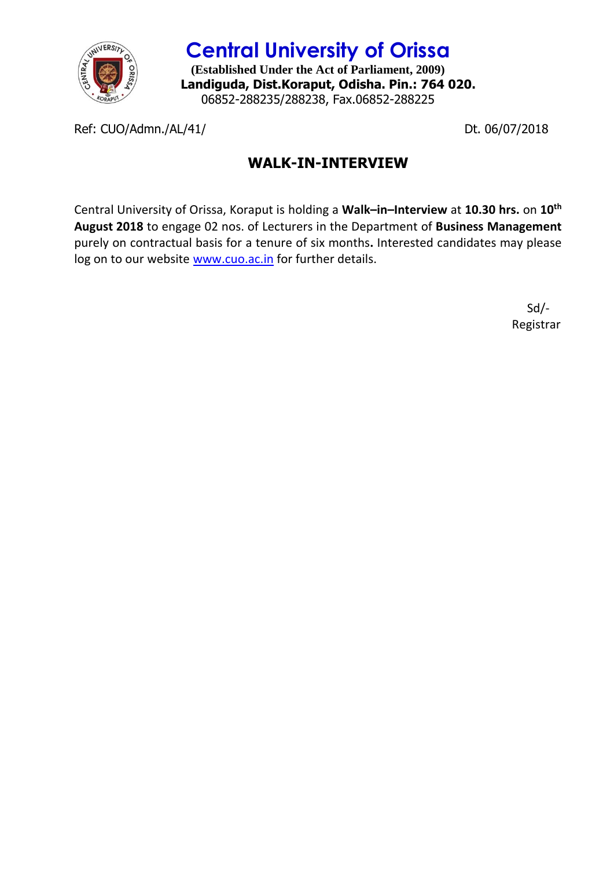

**Central University of Orissa (Established Under the Act of Parliament, 2009) Landiguda, Dist.Koraput, Odisha. Pin.: 764 020.** 06852-288235/288238, Fax.06852-288225

Ref: CUO/Admn./AL/41/ Dt. 06/07/2018

## **WALK-IN-INTERVIEW**

Central University of Orissa, Koraput is holding a **Walk–in–Interview** at **10.30 hrs.** on **10th August 2018** to engage 02 nos. of Lecturers in the Department of **Business Management** purely on contractual basis for a tenure of six months**.** Interested candidates may please log on to our website [www.cuo.ac.in](http://www.cuo.ac.in/) for further details.

> Sd/- Registrar